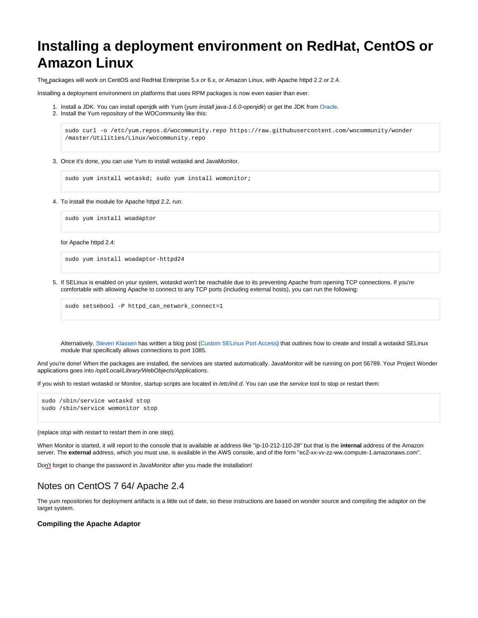# <span id="page-0-0"></span>**Installing a deployment environment on RedHat, CentOS or Amazon Linux**

The packages will work on CentOS and RedHat Enterprise 5.x or 6.x, or Amazon Linux, with Apache httpd 2.2 or 2.4.

Installing a deployment environment on platforms that uses RPM packages is now even easier than ever.

- 1. Install a JDK. You can install openjdk with Yum (*yum install java-1.6.0-openjdk*) or get the JDK from [Oracle.](http://www.oracle.com/technetwork/java/index.html)
- 2. Install the Yum repository of the WOCommunity like this:

sudo curl -o /etc/yum.repos.d/wocommunity.repo https://raw.githubusercontent.com/wocommunity/wonder /master/Utilities/Linux/wocommunity.repo

3. Once it's done, you can use Yum to install wotaskd and JavaMonitor.

sudo yum install wotaskd; sudo yum install womonitor;

4. To install the module for Apache httpd 2.2, run:

sudo yum install woadaptor

for Apache httpd 2.4:

sudo yum install woadaptor-httpd24

5. If SELinux is enabled on your system, wotaskd won't be reachable due to its preventing Apache from opening TCP connections. If you're comfortable with allowing Apache to connect to any TCP ports (including external hosts), you can run the following:

sudo setsebool -P httpd\_can\_network\_connect=1

Alternatively, [Steven Klassen](http://www.mrxinu.com/) has written a blog post ([Custom SELinux Port Access\)](http://www.mrxinu.com/2013/06/07/custom-selinux-port-access/) that outlines how to create and install a wotaskd SELinux module that specifically allows connections to port 1085.

And you're done! When the packages are installed, the services are started automatically. JavaMonitor will be running on port 56789. Your Project Wonder applications goes into /opt/Local/Library/WebObjects/Applications.

If you wish to restart wotaskd or Monitor, startup scripts are located in /etc/init.d. You can use the service tool to stop or restart them:

sudo /sbin/service wotaskd stop sudo /sbin/service womonitor stop

(replace stop with restart to restart them in one step).

When Monitor is started, it will report to the console that is available at address like "ip-10-212-110-28" but that is the **internal** address of the Amazon server. The **external** address, which you must use, is available in the AWS console, and of the form "ec2-xx-vv-zz-ww.compute-1.amazonaws.com".

Don't forget to change the password in JavaMonitor after you made the installation!

## Notes on CentOS 7 64/ Apache 2.4

The yum repositories for deployment artifacts is a little out of date, so these instructions are based on wonder source and compiling the adaptor on the target system.

## **Compiling the Apache Adaptor**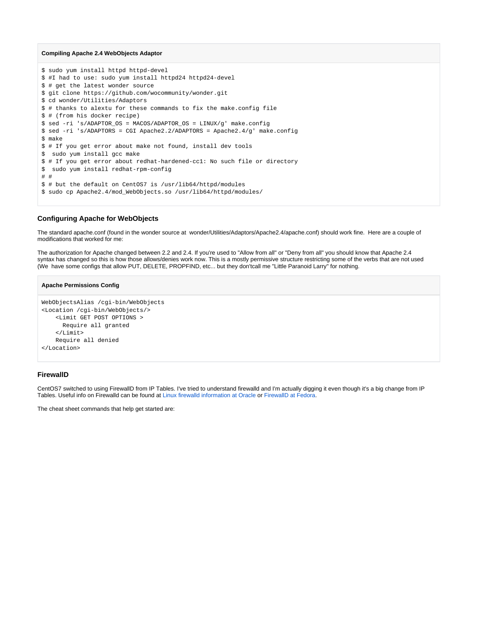#### **Compiling Apache 2.4 WebObjects Adaptor**

```
$ sudo yum install httpd httpd-devel 
$ #I had to use: sudo yum install httpd24 httpd24-devel
$ # get the latest wonder source
$ git clone https://github.com/wocommunity/wonder.git
$ cd wonder/Utilities/Adaptors
$ # thanks to alextu for these commands to fix the make.config file
$ # (from his docker recipe)
$ sed -ri 's/ADAPTOR_OS = MACOS/ADAPTOR_OS = LINUX/g' make.config
$ sed -ri 's/ADAPTORS = CGI Apache2.2/ADAPTORS = Apache2.4/g' make.config
$ make
$ # If you get error about make not found, install dev tools
$ sudo yum install gcc make
$ # If you get error about redhat-hardened-cc1: No such file or directory
$ sudo yum install redhat-rpm-config
# #
$ # but the default on CentOS7 is /usr/lib64/httpd/modules
$ sudo cp Apache2.4/mod WebObjects.so /usr/lib64/httpd/modules/
```
## **Configuring Apache for WebObjects**

The standard apache.conf (found in the wonder source at wonder/Utilities/Adaptors/Apache2.4/apache.conf) should work fine. Here are a couple of modifications that worked for me:

The authorization for Apache changed between 2.2 and 2.4. If you're used to "Allow from all" or "Deny from all" you should know that Apache 2.4 syntax has changed so this is how those allows/denies work now. This is a mostly permissive structure restricting some of the verbs that are not used (We have some configs that allow PUT, DELETE, PROPFIND, etc... but they don'tcall me "Little Paranoid Larry" for nothing.

#### **Apache Permissions Config**

```
WebObjectsAlias /cgi-bin/WebObjects
<Location /cgi-bin/WebObjects/>
     <Limit GET POST OPTIONS >
       Require all granted
     </Limit>
    Require all denied
</Location>
```
## **FirewallD**

CentOS7 switched to using FirewallD from IP Tables. I've tried to understand firewalld and I'm actually digging it even though it's a big change from IP Tables. Useful info on Firewalld can be found at [Linux firewalld information at Oracle](http://oracle-base.com/articles/linux/linux-firewall-firewalld.php) or [FirewallD at Fedora.](https://fedoraproject.org/wiki/FirewallD)

The cheat sheet commands that help get started are: